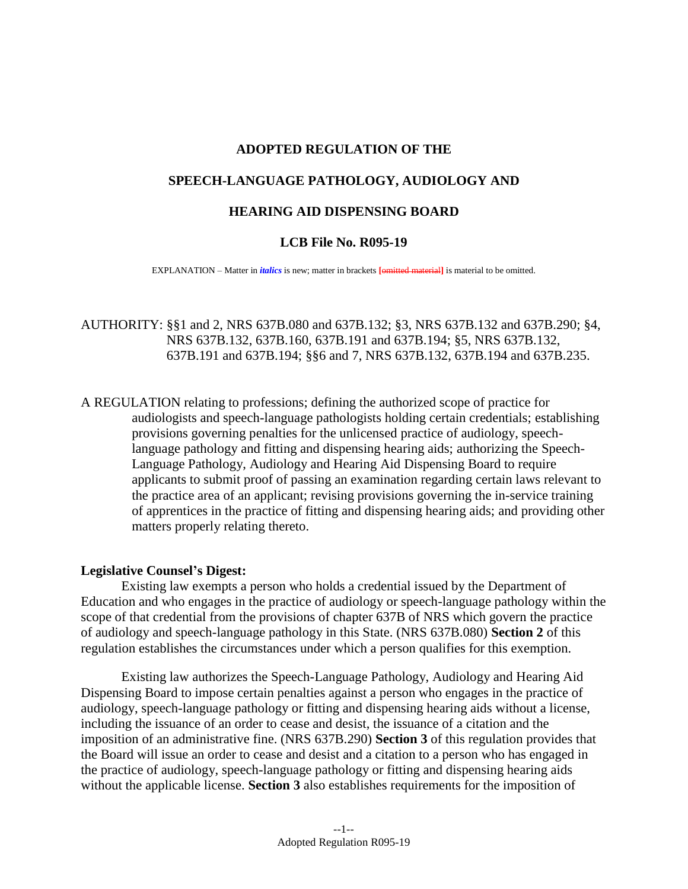# **ADOPTED REGULATION OF THE**

# **SPEECH-LANGUAGE PATHOLOGY, AUDIOLOGY AND**

## **HEARING AID DISPENSING BOARD**

### **LCB File No. R095-19**

EXPLANATION – Matter in *italics* is new; matter in brackets **[omitted material]** is material to be omitted.

AUTHORITY: §§1 and 2, NRS 637B.080 and 637B.132; §3, NRS 637B.132 and 637B.290; §4, NRS 637B.132, 637B.160, 637B.191 and 637B.194; §5, NRS 637B.132, 637B.191 and 637B.194; §§6 and 7, NRS 637B.132, 637B.194 and 637B.235.

A REGULATION relating to professions; defining the authorized scope of practice for audiologists and speech-language pathologists holding certain credentials; establishing provisions governing penalties for the unlicensed practice of audiology, speechlanguage pathology and fitting and dispensing hearing aids; authorizing the Speech-Language Pathology, Audiology and Hearing Aid Dispensing Board to require applicants to submit proof of passing an examination regarding certain laws relevant to the practice area of an applicant; revising provisions governing the in-service training of apprentices in the practice of fitting and dispensing hearing aids; and providing other matters properly relating thereto.

#### **Legislative Counsel's Digest:**

Existing law exempts a person who holds a credential issued by the Department of Education and who engages in the practice of audiology or speech-language pathology within the scope of that credential from the provisions of chapter 637B of NRS which govern the practice of audiology and speech-language pathology in this State. (NRS 637B.080) **Section 2** of this regulation establishes the circumstances under which a person qualifies for this exemption.

Existing law authorizes the Speech-Language Pathology, Audiology and Hearing Aid Dispensing Board to impose certain penalties against a person who engages in the practice of audiology, speech-language pathology or fitting and dispensing hearing aids without a license, including the issuance of an order to cease and desist, the issuance of a citation and the imposition of an administrative fine. (NRS 637B.290) **Section 3** of this regulation provides that the Board will issue an order to cease and desist and a citation to a person who has engaged in the practice of audiology, speech-language pathology or fitting and dispensing hearing aids without the applicable license. **Section 3** also establishes requirements for the imposition of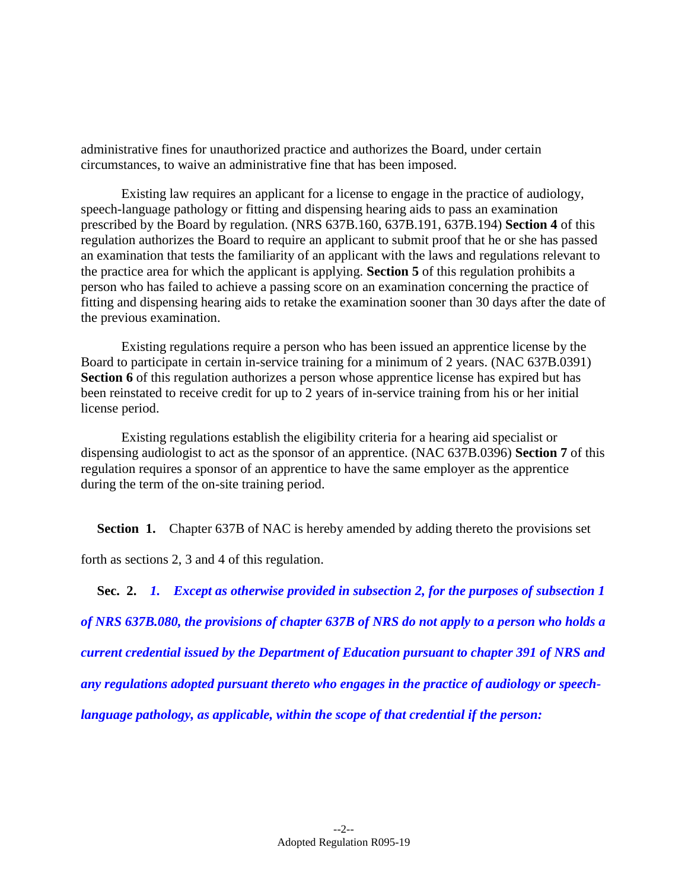administrative fines for unauthorized practice and authorizes the Board, under certain circumstances, to waive an administrative fine that has been imposed.

Existing law requires an applicant for a license to engage in the practice of audiology, speech-language pathology or fitting and dispensing hearing aids to pass an examination prescribed by the Board by regulation. (NRS 637B.160, 637B.191, 637B.194) **Section 4** of this regulation authorizes the Board to require an applicant to submit proof that he or she has passed an examination that tests the familiarity of an applicant with the laws and regulations relevant to the practice area for which the applicant is applying. **Section 5** of this regulation prohibits a person who has failed to achieve a passing score on an examination concerning the practice of fitting and dispensing hearing aids to retake the examination sooner than 30 days after the date of the previous examination.

Existing regulations require a person who has been issued an apprentice license by the Board to participate in certain in-service training for a minimum of 2 years. (NAC 637B.0391) **Section 6** of this regulation authorizes a person whose apprentice license has expired but has been reinstated to receive credit for up to 2 years of in-service training from his or her initial license period.

Existing regulations establish the eligibility criteria for a hearing aid specialist or dispensing audiologist to act as the sponsor of an apprentice. (NAC 637B.0396) **Section 7** of this regulation requires a sponsor of an apprentice to have the same employer as the apprentice during the term of the on-site training period.

**Section 1.** Chapter 637B of NAC is hereby amended by adding thereto the provisions set

forth as sections [2,](#page-1-0) [3](#page-2-0) and 4 of this regulation.

<span id="page-1-0"></span>**Sec. 2.** *1. Except as otherwise provided in subsection 2, for the purposes of subsection 1 of NRS 637B.080, the provisions of chapter 637B of NRS do not apply to a person who holds a current credential issued by the Department of Education pursuant to chapter 391 of NRS and any regulations adopted pursuant thereto who engages in the practice of audiology or speechlanguage pathology, as applicable, within the scope of that credential if the person:*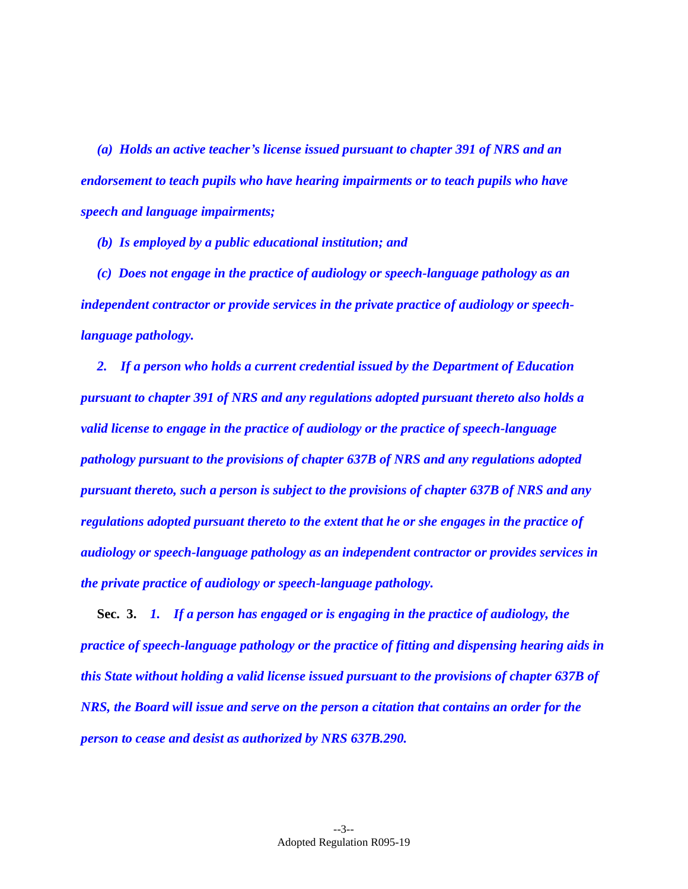*(a) Holds an active teacher's license issued pursuant to chapter 391 of NRS and an endorsement to teach pupils who have hearing impairments or to teach pupils who have speech and language impairments;*

*(b) Is employed by a public educational institution; and*

*(c) Does not engage in the practice of audiology or speech-language pathology as an independent contractor or provide services in the private practice of audiology or speechlanguage pathology.*

*2. If a person who holds a current credential issued by the Department of Education pursuant to chapter 391 of NRS and any regulations adopted pursuant thereto also holds a valid license to engage in the practice of audiology or the practice of speech-language pathology pursuant to the provisions of chapter 637B of NRS and any regulations adopted pursuant thereto, such a person is subject to the provisions of chapter 637B of NRS and any regulations adopted pursuant thereto to the extent that he or she engages in the practice of audiology or speech-language pathology as an independent contractor or provides services in the private practice of audiology or speech-language pathology.*

<span id="page-2-0"></span>**Sec. 3.** *1. If a person has engaged or is engaging in the practice of audiology, the practice of speech-language pathology or the practice of fitting and dispensing hearing aids in this State without holding a valid license issued pursuant to the provisions of chapter 637B of NRS, the Board will issue and serve on the person a citation that contains an order for the person to cease and desist as authorized by NRS 637B.290.*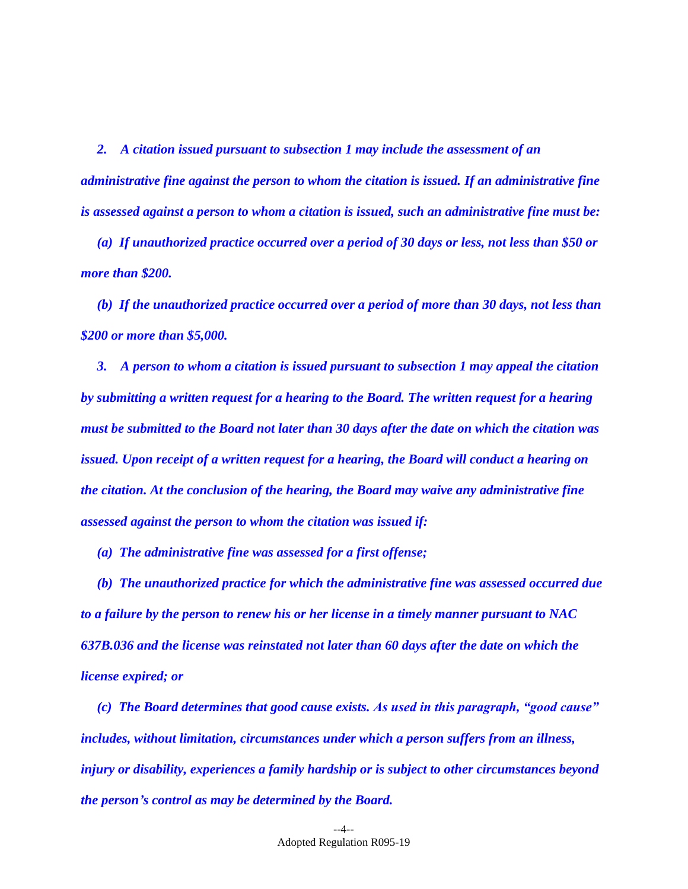*2. A citation issued pursuant to subsection 1 may include the assessment of an administrative fine against the person to whom the citation is issued. If an administrative fine is assessed against a person to whom a citation is issued, such an administrative fine must be:*

*(a) If unauthorized practice occurred over a period of 30 days or less, not less than \$50 or more than \$200.*

*(b) If the unauthorized practice occurred over a period of more than 30 days, not less than \$200 or more than \$5,000.*

*3. A person to whom a citation is issued pursuant to subsection 1 may appeal the citation by submitting a written request for a hearing to the Board. The written request for a hearing must be submitted to the Board not later than 30 days after the date on which the citation was issued. Upon receipt of a written request for a hearing, the Board will conduct a hearing on the citation. At the conclusion of the hearing, the Board may waive any administrative fine assessed against the person to whom the citation was issued if:*

*(a) The administrative fine was assessed for a first offense;*

*(b) The unauthorized practice for which the administrative fine was assessed occurred due to a failure by the person to renew his or her license in a timely manner pursuant to NAC 637B.036 and the license was reinstated not later than 60 days after the date on which the license expired; or*

*(c) The Board determines that good cause exists. As used in this paragraph, "good cause" includes, without limitation, circumstances under which a person suffers from an illness, injury or disability, experiences a family hardship or is subject to other circumstances beyond the person's control as may be determined by the Board.*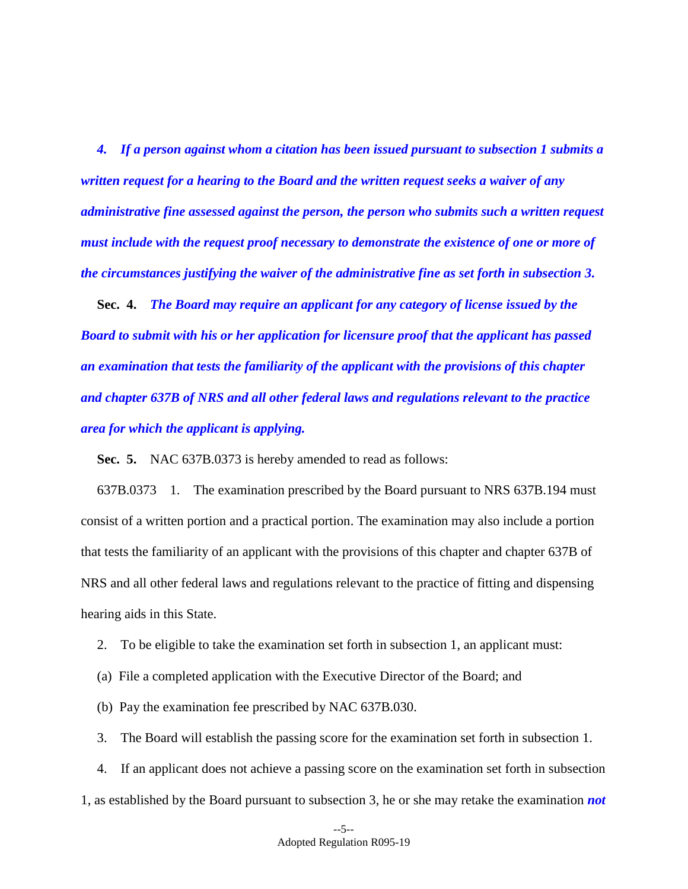*4. If a person against whom a citation has been issued pursuant to subsection 1 submits a written request for a hearing to the Board and the written request seeks a waiver of any administrative fine assessed against the person, the person who submits such a written request must include with the request proof necessary to demonstrate the existence of one or more of the circumstances justifying the waiver of the administrative fine as set forth in subsection 3.*

**Sec. 4.** *The Board may require an applicant for any category of license issued by the Board to submit with his or her application for licensure proof that the applicant has passed an examination that tests the familiarity of the applicant with the provisions of this chapter and chapter 637B of NRS and all other federal laws and regulations relevant to the practice area for which the applicant is applying.*

**Sec. 5.** NAC 637B.0373 is hereby amended to read as follows:

637B.0373 1. The examination prescribed by the Board pursuant to NRS 637B.194 must consist of a written portion and a practical portion. The examination may also include a portion that tests the familiarity of an applicant with the provisions of this chapter and chapter 637B of NRS and all other federal laws and regulations relevant to the practice of fitting and dispensing hearing aids in this State.

2. To be eligible to take the examination set forth in subsection 1, an applicant must:

- (a) File a completed application with the Executive Director of the Board; and
- (b) Pay the examination fee prescribed by NAC 637B.030.

3. The Board will establish the passing score for the examination set forth in subsection 1.

4. If an applicant does not achieve a passing score on the examination set forth in subsection 1, as established by the Board pursuant to subsection 3, he or she may retake the examination *not*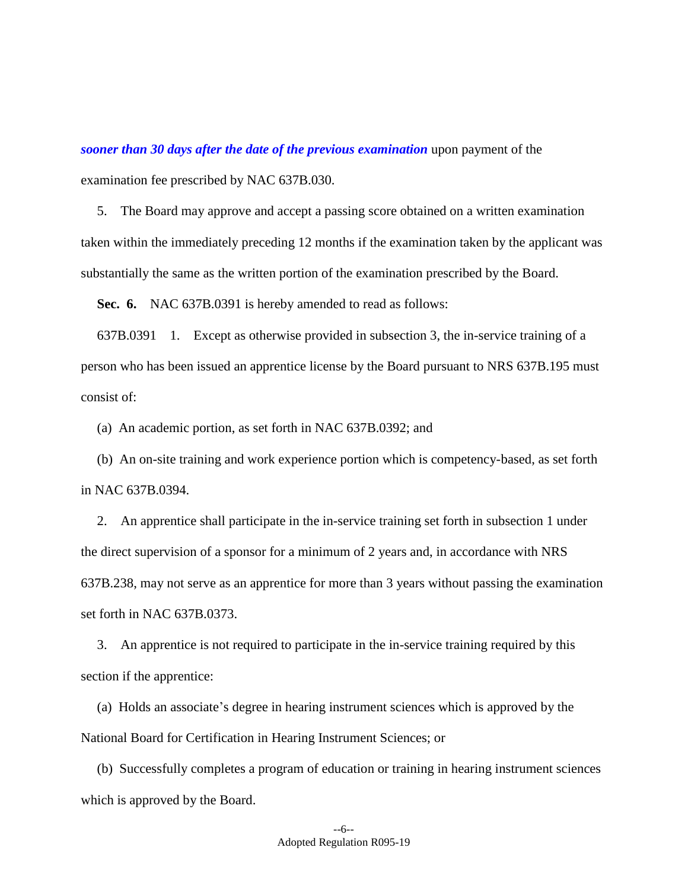*sooner than 30 days after the date of the previous examination* upon payment of the examination fee prescribed by NAC 637B.030.

5. The Board may approve and accept a passing score obtained on a written examination taken within the immediately preceding 12 months if the examination taken by the applicant was substantially the same as the written portion of the examination prescribed by the Board.

**Sec. 6.** NAC 637B.0391 is hereby amended to read as follows:

637B.0391 1. Except as otherwise provided in subsection 3, the in-service training of a person who has been issued an apprentice license by the Board pursuant to NRS 637B.195 must consist of:

(a) An academic portion, as set forth in NAC 637B.0392; and

(b) An on-site training and work experience portion which is competency-based, as set forth in NAC 637B.0394.

2. An apprentice shall participate in the in-service training set forth in subsection 1 under the direct supervision of a sponsor for a minimum of 2 years and, in accordance with NRS 637B.238, may not serve as an apprentice for more than 3 years without passing the examination set forth in NAC 637B.0373.

3. An apprentice is not required to participate in the in-service training required by this section if the apprentice:

(a) Holds an associate's degree in hearing instrument sciences which is approved by the National Board for Certification in Hearing Instrument Sciences; or

(b) Successfully completes a program of education or training in hearing instrument sciences which is approved by the Board.